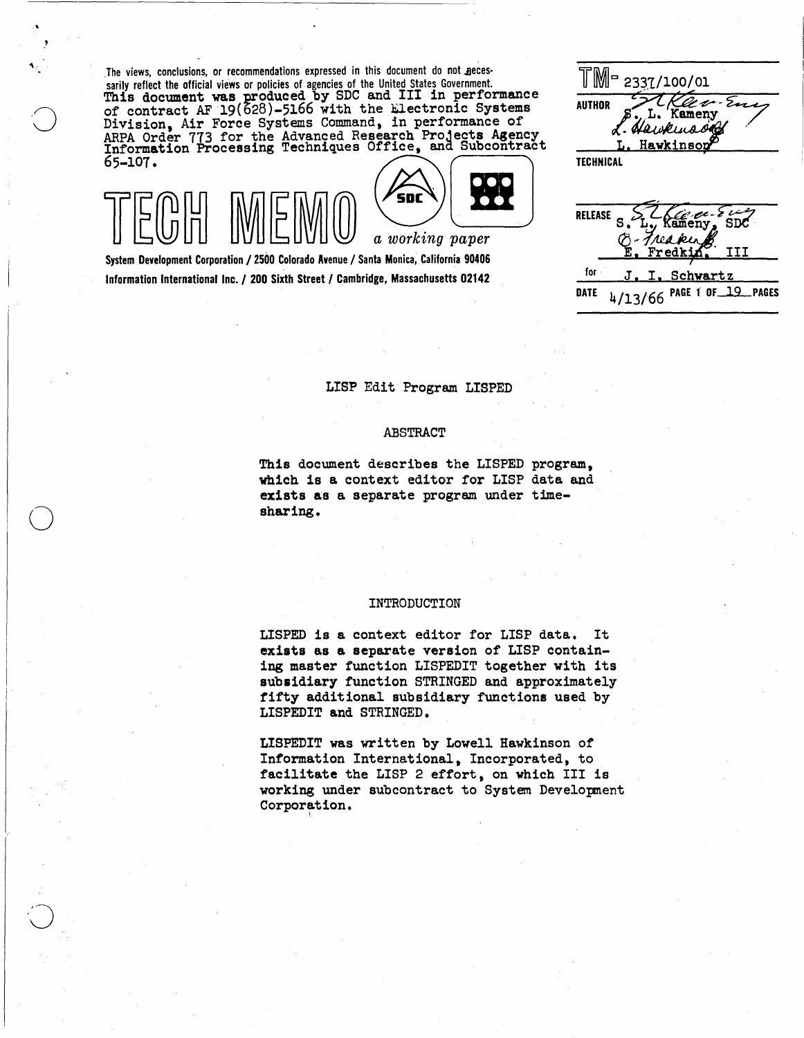The views, conclusions, or recommendations expressed in this document do not necessarily reflect the official views or policies of agencies of the United States Government.<br>This document was produced by SDC and III in performance<br>of contract AF 19(628)-5166 with the Electronic Systems<br>Division, Air Forc Division, Air Force Systems Command, in performance of and the Advanced Research Projects Agency and Subcontract Theorem of the Advanced Research Projects Agency and Subcontract Theorem of the Horse of the Advanced Subcont

 $\mathbf{v}_\mathrm{in}$ 

o



Information International Inc. / 200 Sixth Street / Cambridge, Massachusetts 02142

TM-100/01  $2$  c  $\sim$  Ex **AUTHOR** Kameny awkinson Hawkinson

DATE 4/13/66 PAGE 1 OF 19 PAGES

LISP Edit Program LISPED

## ABSTRACT

This document describes the LISPED program. which is a context editor for LISP data and exists as a separate program under timesharing.

## INTRODUCTION

LISPED is a context editor for LISP data. It exists as a separate version of LISP containing master function LISPEDIT together with its subsidiary function STRINGED and approximately fifty additional subsidiary functions used by LISPEDIT and STRINGED.

LISPEDIT was written by Lowell Hawkinson of Information International, Incorporated, to facilitate the LISP 2 effort, on which III is working under subcontract to System Development Corporation.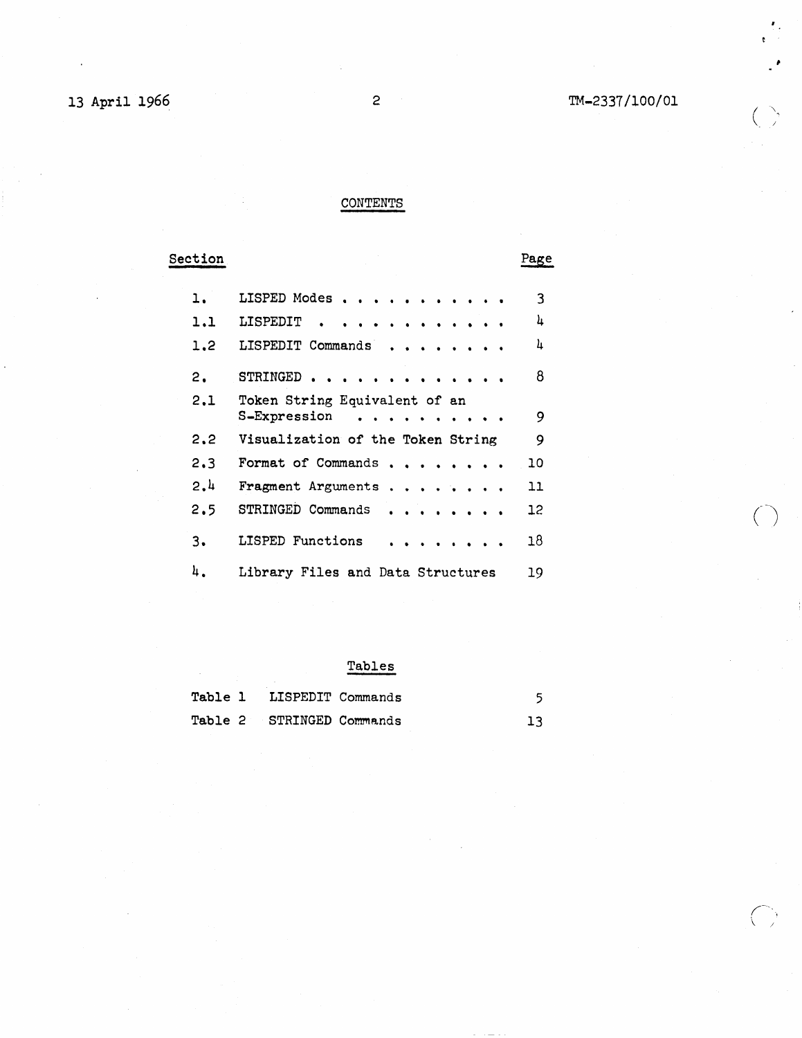~-

 $\bigcirc$ 

 $\bigcirc$ 

## CONTENTS

**Section** 

Page

| ı.  | LISPED Modes                      | 3  |
|-----|-----------------------------------|----|
| 1.1 | LISPEDIT<br>.                     | 4  |
| 1,2 | LISPEDIT Commands                 | 4  |
| 2.  | STRINGED.                         | 8  |
| 2,1 | Token String Equivalent of an     |    |
|     | S-Expression<br>.                 | 9  |
| 2.2 | Visualization of the Token String | 9  |
| 2.3 | Format of Commands                | 10 |
| 2.4 | Fragment Arguments                | 11 |
| 2.5 | STRINGED Commands                 | 12 |
| 3.  | LISPED Functions                  | 18 |
| 4.  | Library Files and Data Structures | 19 |

# Tables

| Table 1 | LISPEDIT Commands         |  |
|---------|---------------------------|--|
|         | Table 2 STRINGED Commands |  |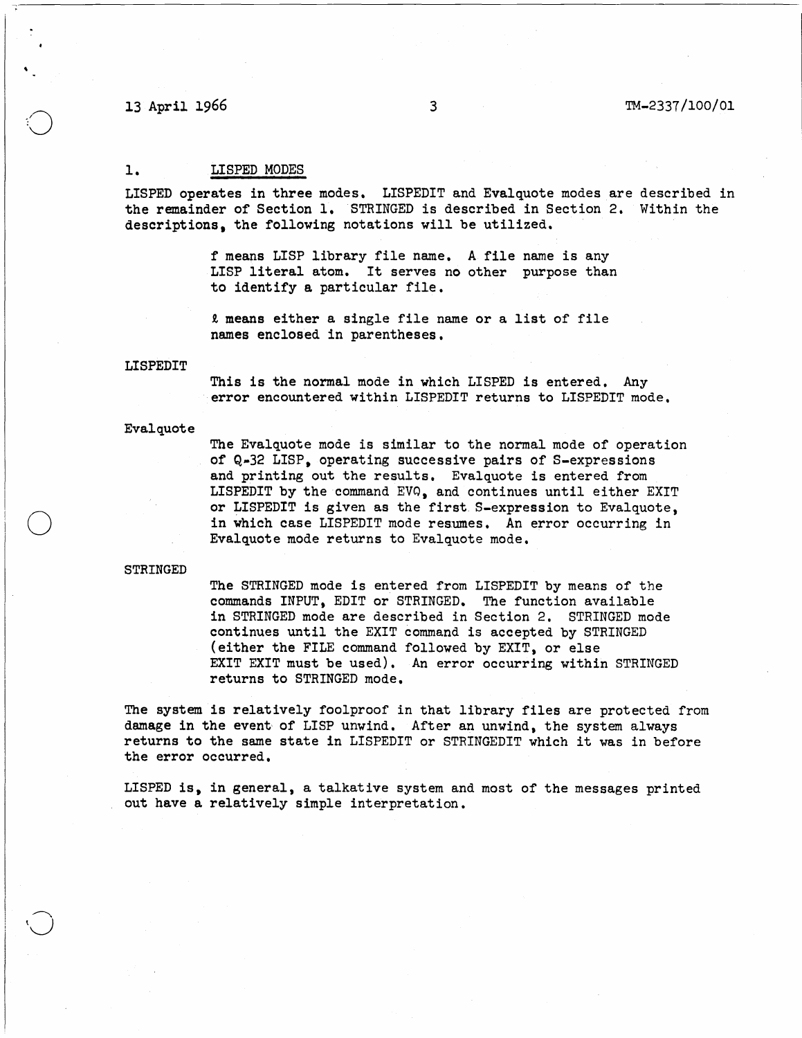13 April 1966 3 TM-2337/100/01

## 1. LISPED MODES

LISPED operates in three modes. LISPEDIT and Evalquote modes are described in the remainder of Section 1. STRINGED is described in Section 2. Within the descriptions. the following notations will be utilized.

> f means LISP library file name. A file name is any LISP literal atom. It serves no other purpose than to identify a particular file.

t means either a single file name or a list of file names enclosed in parentheses.

## LISPEDIT

This is the normal mode in which LISPED is entered. Any error encountered within LISPEDIT returns to LISPEDIT mode.

## Evalquote

The Evalquote mode is similar to the normal mode of operation of Q-32 LISP. operating successive pairs of S-expressions and printing out the results. Evalquote is entered from LISPEDIT by the command EVQ, and continues until either EXIT or LISPEDIT is given as the first. S-expression to Evalquote, in which case LISPEDIT mode resumes. An error occurring in Evalquote mode returns to Evalquote mode.

## STRINGED

o

The STRINGED mode is entered from LISPEDIT by means of the commands INPUT, EDIT or STRINGED. The function available in STRINGED mode are described in Section 2. STRINGED mode continues until the EXIT command is accepted by STRINGED (either the FILE command followed by EXIT, or else EXIT EXIT must be used). An error occurring within STRINGED returns to STRINGED mode.

The system is relatively foolproof in that library files are protected from damage in the event of LISP unwind. After an unwind, the system always returns to the same state in LISPEDIT or STRINGEDIT which it was in before the error occurred.

LISPED is. in general, a talkative system and most of the messages printed out have a relatively simple interpretation.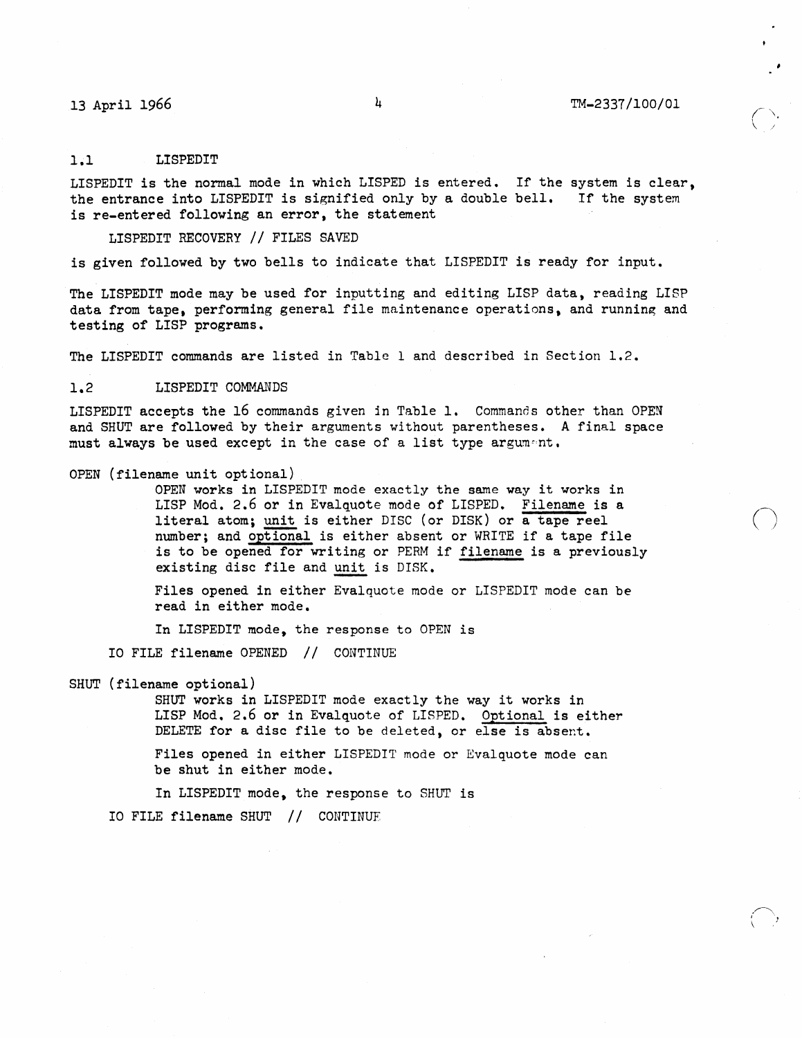$\bigcirc$ 

.~. I \

## 1.1 LISPEDIT

LISPEDIT is the normal mode in which LISPED is entered. If the system is clear. the entrance into LISPEDIT is signified only by a double bell. If the system is re-entered following an error. the statement

LISPEDIT RECOVERY // FILES SAVED

is given followed by two bells to indicate that LISPEDIT is ready for input.

The LISPEDIT mode may be used for inputting and editing LISP data, reading LISP data from tape. performing general file maintenance operations, and running and testing of LISP programs.

The LISPEDIT commands are listed in Table 1 and described in Section 1.2.

## 1.2 LISPEDIT COMMANDS

LISPEDIT accepts the 16 commands given in Table 1. Commands other than OPEN and SHUT are followed by their arguments without parentheses. A final space must always be used except in the case of a list type argument.

## OPEN (filename unit optional)

OPEN works in LISPEDIT mode exactly the same way it works in LISP Mod. 2.6 or in Evalquote mode of LISPED. Filename is a literal atom; unit is either DISC (or DISK) or a tape reel number; and optional is either absent or WRITE if a tape file is to be opened for writing or PERM if filename is a previously existing disc file and unit is DISK.

Files opened in either Evalquote mode or LISPEDIT mode can be read in either mode.

In LISPEDIT mode. the response to OPEN is

10 FILE filename OPENED II CONTINUE

SHUT (filename optional)

SHUT works in LISPEDIT mode exactly the way it works in LISP Mod, 2.6 or in Evalquote of LISPED. Optional is either DELETE for a disc file to be deleted, or else is absent.

Files opened in either LISPEDIT mode or Evalquote mode can be shut in either mode.

In LISPEDIT mode, the response to SHUT is

10 FILE filename SHUT // CONTINUE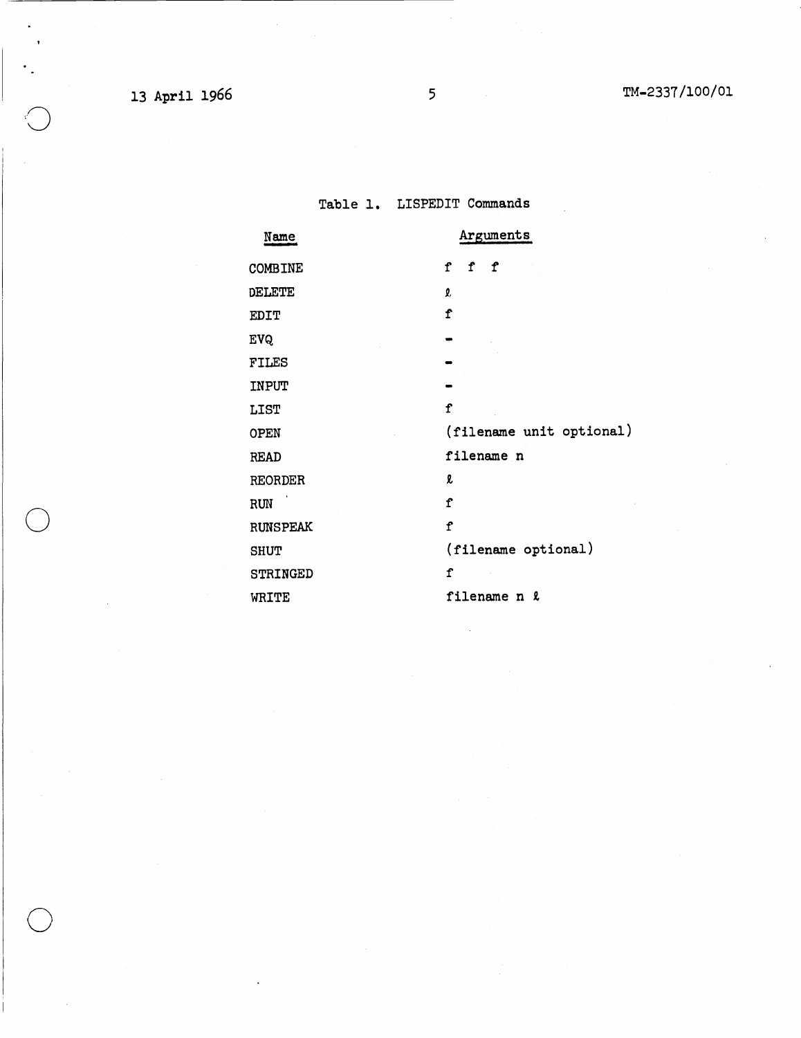$\ddot{\phantom{a}}$ 

o

# Table 1. LISPEDIT Commands

| Name            | Arguments                       |
|-----------------|---------------------------------|
| COMBINE         | $\mathbf f$<br>$\mathbf f$<br>f |
| DELETE          | 2,                              |
| EDIT            | $\mathbf f$                     |
| <b>EVQ</b>      |                                 |
| FILES           |                                 |
| INPUT           |                                 |
| <b>LIST</b>     | $\mathbf f$                     |
| OPEN            | (filename unit optional)        |
| <b>READ</b>     | filename n                      |
| <b>REORDER</b>  | l                               |
| RUN             | f                               |
| <b>RUNSPEAK</b> | $\mathbf f$                     |
| <b>SHUT</b>     | (filename optional)             |
| STRINGED        | $\mathbf f$                     |
| WRITE           | filename n &                    |
|                 |                                 |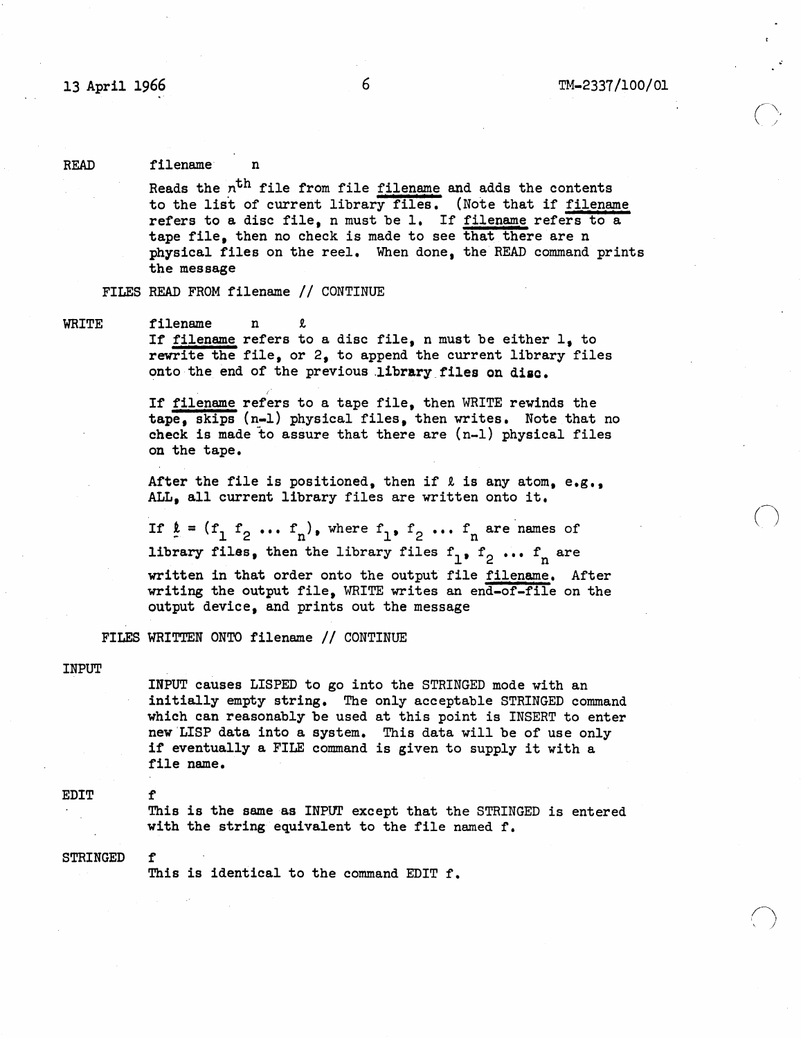$\bigcap$ 

 $\bigcap$ *,* )

## READ filename

Reads the n<sup>th</sup> file from file filename and adds the contents to the list of current library files. (Note that if filename refers to a disc file, n must be 1. If filename refers to a tape file, then no check is made to see that there are n physical files on the reel. When done, the READ command prints the message

FILES READ FROM filename // CONTINUE

I·

WRITE filename n

If filename refers to a disc file, n must be either 1, to rewrite the file, or 2, to append the current library files onto the end of the previous library files on disc.

If filename refers to a tape file, then WRITE rewinds the tape. skips (n-l) physical files, then writes. Note that no check is made to assure that there are (n-l) physical files on the tape.

After the file is positioned, then if  $\ell$  is any atom, e.g., ALL, all current library files are written onto it.

If  $\underline{\mathbf{r}} = (\underline{\mathbf{r}}_1 \underline{\mathbf{r}}_2 \dots \underline{\mathbf{r}}_n)$ , where  $\underline{\mathbf{r}}_1$ ,  $\underline{\mathbf{r}}_2 \dots \underline{\mathbf{r}}_n$  are names of library files, then the library files  $f_1$ ,  $f_2$  ...  $f_n$  are written in that order onto the output file filename. After writing the output file, WRITE writes an end-of-file on the output device, and prints out the message

FILES WRITTEN ONTO filename // CONTINUE

## INPUT

INPUT causes LISPED to go into the STRINGED mode with an initially empty string. The only acceptable STRINGED command which can reasonably be used at this point is INSERT to enter new 'LISP data into a system. This data will be of use only if eventually a FILE command is given to supply it with a file name.

**EDIT** 

This is the same as INPUT except that the STRINGED is entered with the string equivalent to the file named f.

STRINGED

This is identical to the command EDIT f.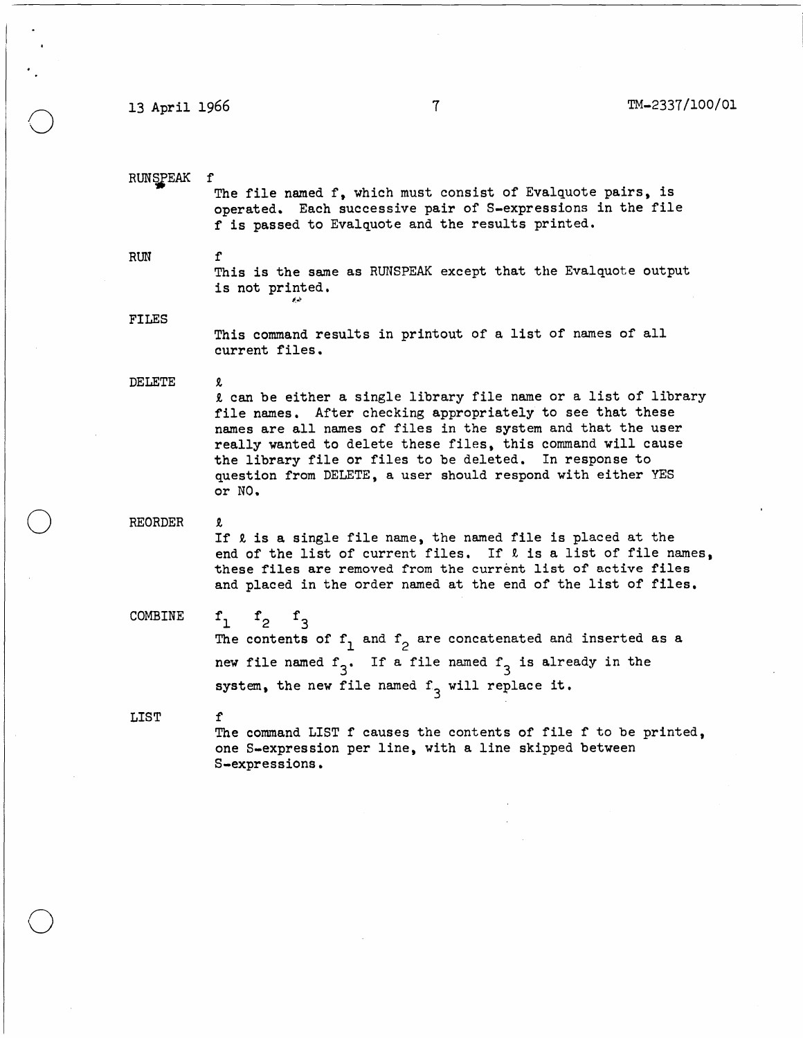13 April 1966 7 TM-2337/100/01

RUNSPEAK f The file named f, which must consist of Evalquote pairs, is operated. Each successive pair of S-expressions in the file f is passed to Evalquote and the results printed.

RUN f

o

o

o

This is the same as RUNSPEAK except that the Evalquote output is not printed.

FILES

This command results in printout of a list of names of all current files.

DELETE R.

R. can be either a single library file name or a list of library file names. After checking appropriately to see that these names are all names of files in the system and that the user really wanted to delete these files, this command will cause the library file or files to be deleted. In response to question from DELETE, a user should respond with either YES or NO.

REORDER

R.

If  $\ell$  is a single file name, the named file is placed at the end of the list of current files. If  $\ell$  is a list of file names, these files are removed from the current list of active files and placed in the order named at the end of the list of files.

COMBINE

 $f_1$   $f_2$   $f_3$ <br>The contents of  $f_1$  and  $f_2$  are concatenated and inserted as a new file named  $f_3$ . If a file named  $f_3$  is already in the system, the new file named  $f_3$  will replace it.

LIST f

The command LIST  $f$  causes the contents of file  $f$  to be printed, one S-expression per line, with a line skipped between S-expressions.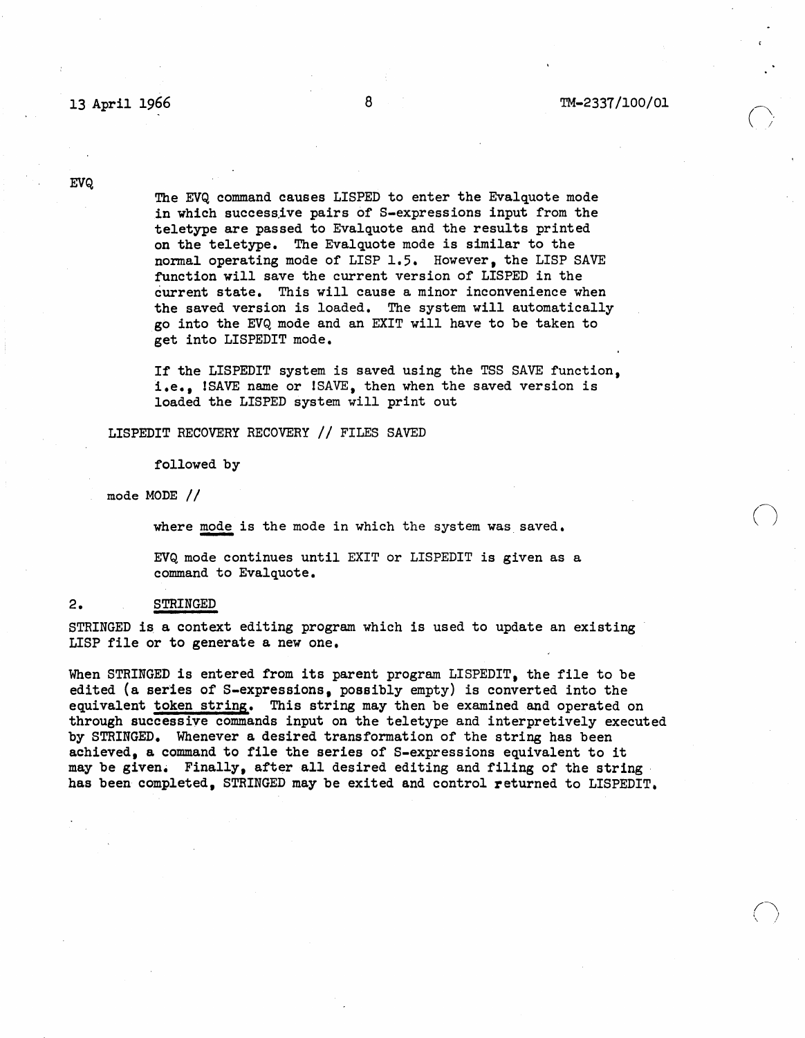## 13 April 1966 **8 8 TM-2337/100/01**

 $\bigcap$ 

 $\bigcap$  $\langle \quad \rangle$ 

**EVQ** 

The EVQ command causes LISPED to enter the Evalquote mode in which successive pairs of S-expressions input from the teletype are passed to Evalquote and the results printed on the teletype. The Evalquote mode is similar to the normal operating mode of LISP 1.5. However, the LISP SAVE function will save the current version of LISPED in the current state. This will cause a minor inconvenience when the saved version is loaded. The system will automatically go into the EVQ mode and an EXIT will have to be taken to get into LISPEDIT mode.

If the LISPEDIT system is saved using the TSS SAVE function, i.e., ISAVE name or ISAVE, then when the saved version is loaded the LISPED system will print out

LISPEDIT RECOVERY RECOVERY // FILES SAVED

followed by

mode MODE  $//$ 

where mode is the mode in which the system was saved.

EVQ mode continues until EXIT or LISPEDIT is given as a command to Evalquote.

### 2. STRINGED

STRINGED is a context editing program which is used to update an existing LISP file or to generate a new one.

When STRINGED is entered from its parent program LISPEDIT, the file to be edited (a series of S-expressions, possibly empty) is converted into the equivalent token string. This string may then be examined and operated on through successive commands input on the teletype and interpretively executed by STRINGED. Whenever a desired transformation of the string has been achieved, a command to file the series of S-expressions equivalent to it may be given. Finally, after all desired editing and filing of the string, has been completed, STRINGED may be exited and control returned to LISPEDIT.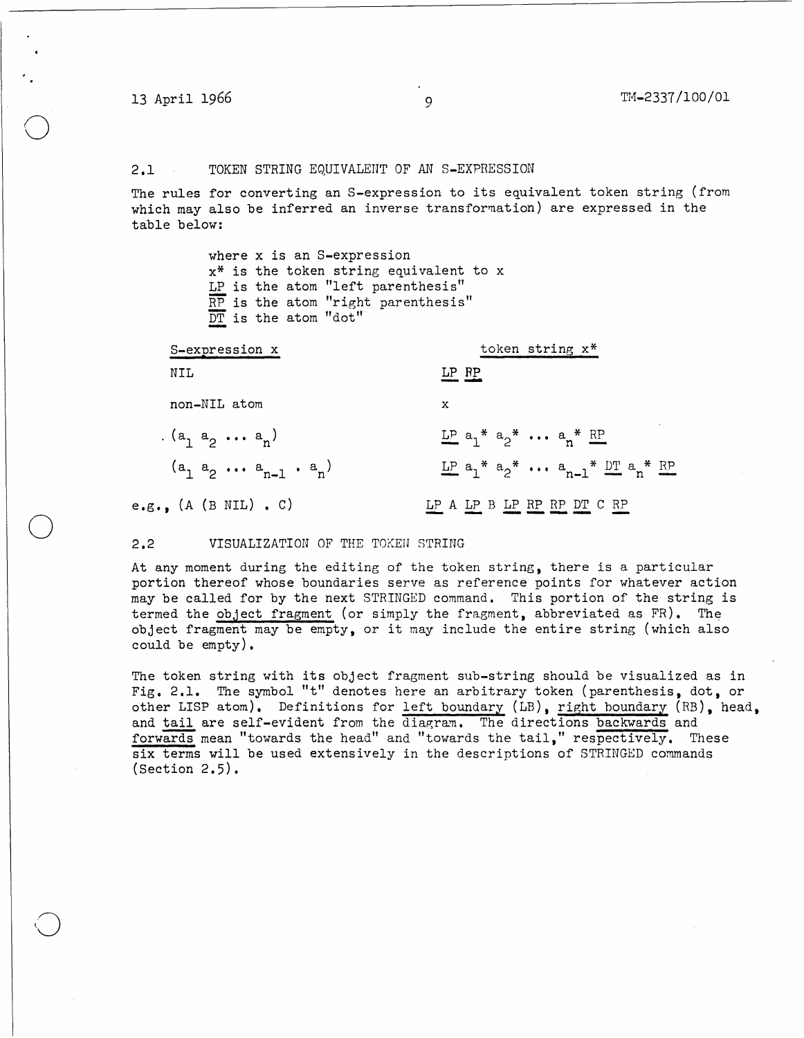o

o

 $\bigcirc$ 

## 2.1 TOKEN STRING EQUIVALENT OF AN S-EXPRESSION

The rules for converting an S-expression to its equivalent token string (from which may also be inferred an inverse transformation) are expressed in the table below:

| where x is an S-expression                |
|-------------------------------------------|
| $x^*$ is the token string equivalent to x |
| LP is the atom "left parenthesis"         |
| RP is the atom "right parenthesis"        |
| $\overline{DT}$ is the atom "dot"         |
|                                           |

| S-expression x                 | token string x*                                              |
|--------------------------------|--------------------------------------------------------------|
| NIL                            | LP RP                                                        |
| non-NIL atom                   | x                                                            |
| $(a_1 a_2 \ldots a_n)$         | $L^p$ a <sub>1</sub> * a <sub>2</sub> *  a <sub>n</sub> * RP |
| $(a_1 a_2 \ldots a_{n-1} a_n)$ | $LP$ $a_1^*$ $a_2^*$ $\cdots$ $a_{n-1}^*$ $DT$ $a_n^*$ $RP$  |
| e.g., $(A \t (B \t NIL) . C)$  | LP A LP B LP RP RP DT C RP                                   |

### 2.2 VISUALIZATION OF THE TOKEN STRING

At any moment during the editing of the token string, there is a particular portion thereof whose boundaries serve as reference points for whatever action may be called for by the next STRINGED command. This portion of the string is termed the object fragment (or simply the fragment, abbreviated as  $FR$ ). The object fragment may be empty, or it may include the entire string (which also could be empty).

The token string with its object fragment sub-string should be visualized as in Fig. 2.1. The symbol "t" denotes here an arbitrary token (parenthesis, dot, or other LISP atom). Definitions for left boundary (LB), right boundary (RB), head, and tail are self-evident from the diagram. The directions backwards and forwards mean "towards the head" and "towards the tail," respectively. These six terms will be used extensively in the descriptions of STRINGED commands (Section 2.5).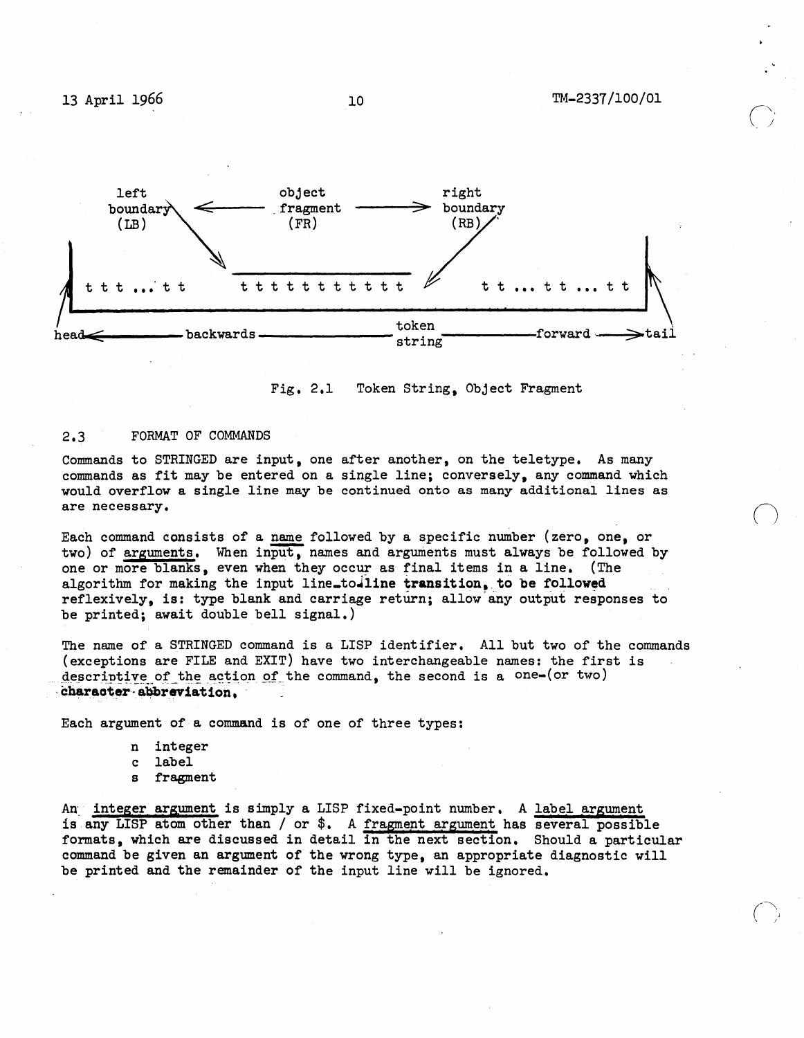

Fig. 2.1 Token String, Object Fragment

## 2.3 FORMAT OF COMMANDS

Commands to STRINGED are input, one after another, on the teletype. As many commands as fit may be entered on a single line; conversely, any command which would overflow a single line may be continued onto as many additional lines as are necessary.

Each command consists of a name followed by a specific number (zero, one, or two) of arguments. When input, names and arguments must always be followed by one or more blanks, even when they occur as final items in a line. (The algorithm for making the input line\_to-line transition, to be followed reflexively, is: type blank and carriage return; allow any output responses to. be printed; await double bell signal.)

The name of a STRINGED command is a LISP identifier. All but two of the commands (exceptions are FILE and EXIT) have two interchangeable names: the first is descriptive of the action of the command, the second is a one-(or two) character abbreviation,

Each argument of a command is of one of three types:

n integer c label s fragment

An integer argument is simply a LISP fixed-point number. A label argument is any LISP atom other than / or  $\hat{s}$ . A fragment argument has several possible formats, which are discussed in detail in the next section. Should a particular command be given an argument of the wrong type, an appropriate diagnostic will be printed and the remainder of the input line will be ignored.

10

 $\bigcap$  $\backslash\ \rightarrow$ 

 $\bigcirc$ 

(  $\widehat{\phantom{m}}$ , J , I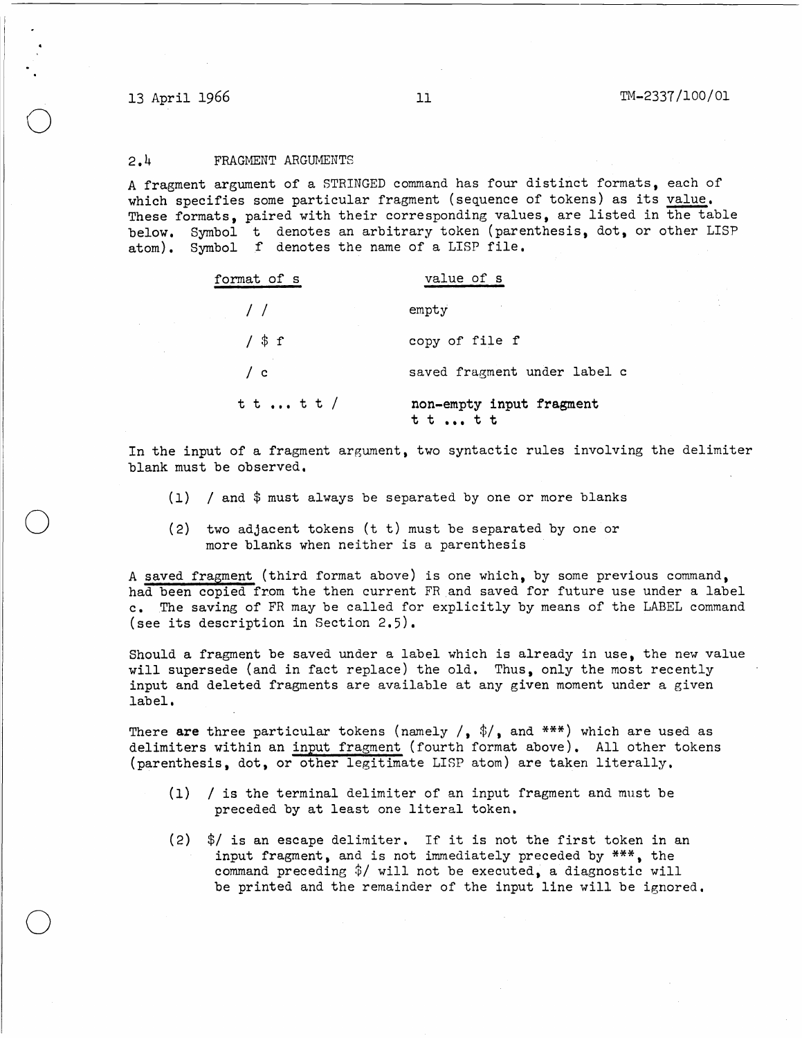o

o

o

## 2.4 FRAGMENT ARGUMENTS

A fragment argument of a STRINGED command has four distinct formats, each of which specifies some particular fragment (sequence of tokens) as its value. These formats, paired with their corresponding values, are listed in the table below. Symbol t denotes an arbitrary token (parenthesis, dot, or other LISP atom). Symbol f denotes the name of a LISP file.

| format of s   | value of s                           |
|---------------|--------------------------------------|
| $\frac{1}{2}$ | empty                                |
| $/$ \$ f      | copy of file f                       |
| $\sqrt{c}$    | saved fragment under label c         |
| t t  t t /    | non-empty input fragment<br>t t  t t |

In the input of a fragment argument, two syntactic rules involving the delimiter blank must be observed.

- *(1)* I and \$ must always be separated by one or more blanks
- (2) two adjacent tokens (t t) must be separated by one or more blanks when neither is a parenthesis

A saved fragment (third format above) is one which, by some previous command, had been copied from the then current FRand saved for future use under a label c. The saving of FR may be called for explicitly by means of the LABEL command (see its description in Section 2.5).

Should a fragment be saved under a label which is already in use, the new value will supersede (and in fact replace) the old. Thus, only the most recently input and deleted fragments are available at any given moment under a given label.

There are three particular tokens (namely /,  $\frac{4}{3}$ , and \*\*\*) which are used as delimiters within an input fragment (fourth format above). All other tokens (parenthesis, dot, or other legitimate LISP atom) are taken literally.

- *(1)* I is the terminal delimiter of an input fragment and must be preceded by at least one literal token.
- *(2) \$1* is an escape delimiter. If it is not the first token in an input fragment, and is not immediately preceded by \*\*\*, the command preceding *\$1* will not be executed, a diagnostic will be printed and the remainder of the input line will be ignored.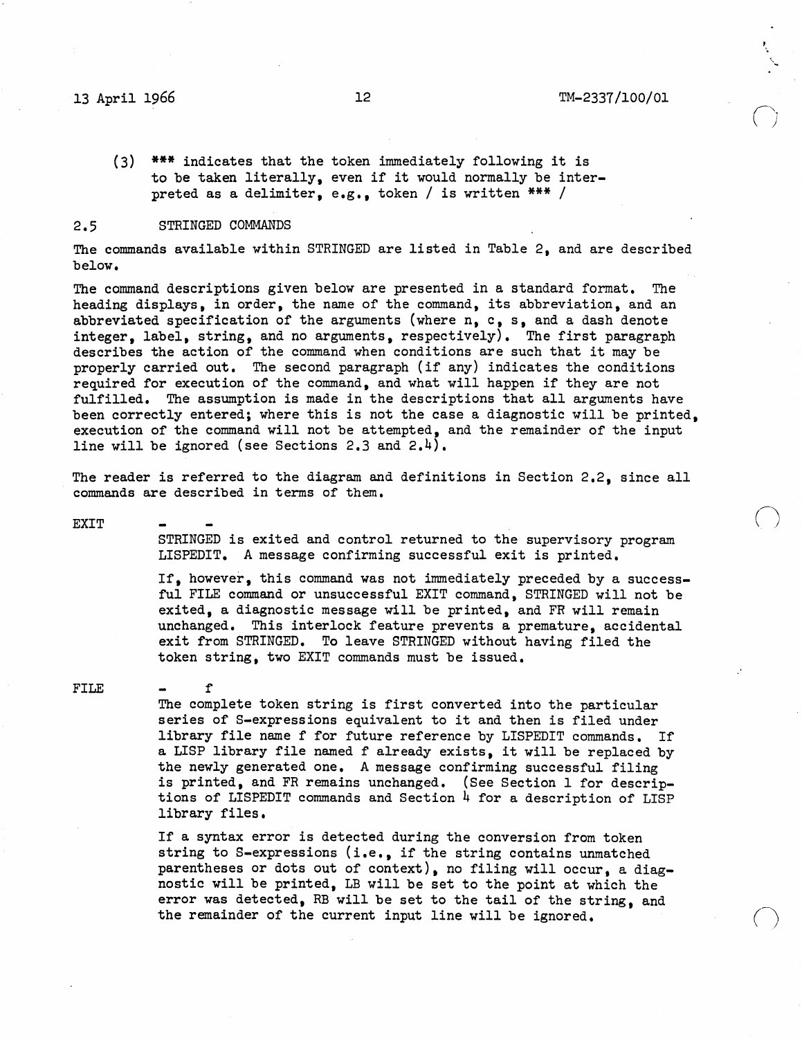## 13 April 1966 12 TM-2337/l00/0l

 $\bigcirc$ 

 $\bigcirc$ 

 $\bigcirc$ 

(3) \*\*\* indicates that the token immediately following it is to be taken literally, even if it would normally be interpreted as a delimiter, e.g., token / is written \*\*\* /

## 2.5 STRINGED COMMANDS

f

The commands available within STRINGED are listed in Table 2, and are described below.

The command descriptions given below are presented in a standard format. The heading displays, in order, the name of the command, its abbreviation, and an abbreviated specification of the arguments (where n, c, s, and a dash denote integer, label, string, and no arguments, respectively). The first paragraph describes the action of the command when conditions are such that it may be properly carried out. The second paragraph (if any) indicates the conditions required for execution of the command, and what will happen if they are not fulfilled. The assumption is made in the descriptions that all arguments have been correctly entered; where this is not the case a diagnostic will be printed, execution of the command will not be attempted, and the remainder of the input line will be ignored (see Sections 2.3 and 2.4).

The reader is referred to the diagram and definitions in Section 2.2, since all commands are described in terms of them.

EXIT

STRINGED is exited and control returned to the supervisory program LISPEDIT. A message confirming successful exit is printed.

If, however, this command was not immediately preceded by a successful FILE command or unsuccessful EXIT command, STRINGED will not be exited, a diagnostic message will be printed, and FR will remain unchanged. This interlock feature prevents a premature, accidental exit from STRINGED. To leave STRINGED without having filed the token string, two EXIT commands must be issued.

## FILE

The complete token string is first converted into the particular series of S-expressions equivalent to it and then is filed under library file name f for future reference by LISPEDIT commands. If a LISP library file named f already exists, it will be replaced by the newly generated one. A message confirming successful filing is printed, and FR remains unchanged. (See Section I for descriptions of LISPEDIT commands and Section  $\frac{1}{4}$  for a description of LISP library files.

If a syntax error is detected during the conversion from token string to S-expressions (i.e., if the string contains unmatched parentheses or dots out of context), no filing will occur, a diagnostic will be printed, LB will be set to the point at which the error was detected, RB will be set to the tail of the string, and the remainder of the current input line will be ignored.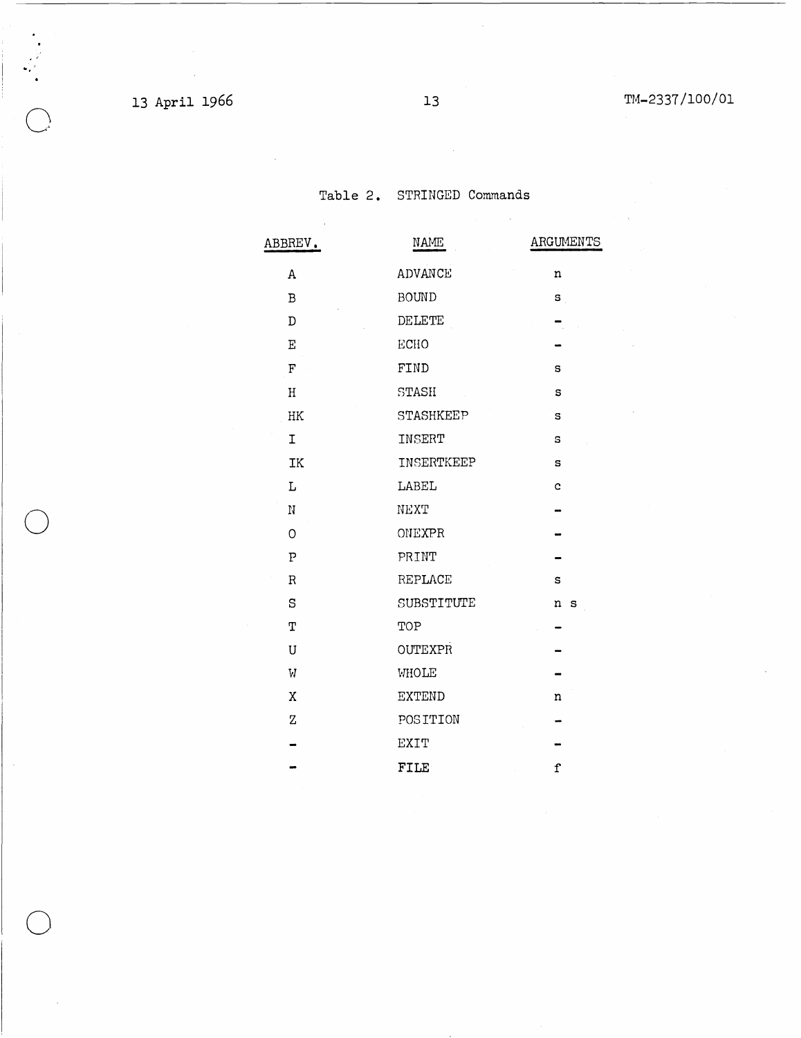# 13 April 1966 13 13 13 TM-2337/100/01

",'

o

o

 $\bar{z}$ 

Table 2. STRINGED Commands

|  | ABBREV.                   | $\ensuremath{\mathsf{NAME}}$ | ARGUMENTS    |
|--|---------------------------|------------------------------|--------------|
|  | $\,$ A                    | ADVANCE                      | $\mathbf n$  |
|  | $\, {\bf B}$              | <b>BOUND</b>                 | $\mathbf{s}$ |
|  | $\mathbb D$               | DELETE                       |              |
|  | $\mathbf E$               | ECHO                         |              |
|  | $\mathbf F$               | FIND                         | $\bf s$      |
|  | $\rm H$                   | STASH                        | $\mathtt{s}$ |
|  | $\rm{HK}$                 | STASHKEEP                    | $\mathtt{s}$ |
|  | $\mathbf I$               | INSERT                       | s            |
|  | IK                        | INSERTKEEP                   | $\mathbf{s}$ |
|  | $\mathbf L$               | LABEL                        | $\mathbf{c}$ |
|  | $\mathbf N$               | NEXT                         |              |
|  | $\circ$                   | ONEXPR                       |              |
|  | $\overline{P}$            | PRINT                        |              |
|  | $\, {\bf R}$              | REPLACE                      | s            |
|  | S                         | SUBSTITUTE                   | n s          |
|  | T                         | TOP                          |              |
|  | U                         | <b>OUTEXPR</b>               |              |
|  | $\boldsymbol{\mathrm{W}}$ | WHOLE                        |              |
|  | $\mathbf X$               | <b>EXTEND</b>                | $\mathbf n$  |
|  | $\rm{Z}$                  | POSITION                     |              |
|  |                           | <b>EXIT</b>                  |              |
|  |                           | <b>FILE</b>                  | $\mathbf f$  |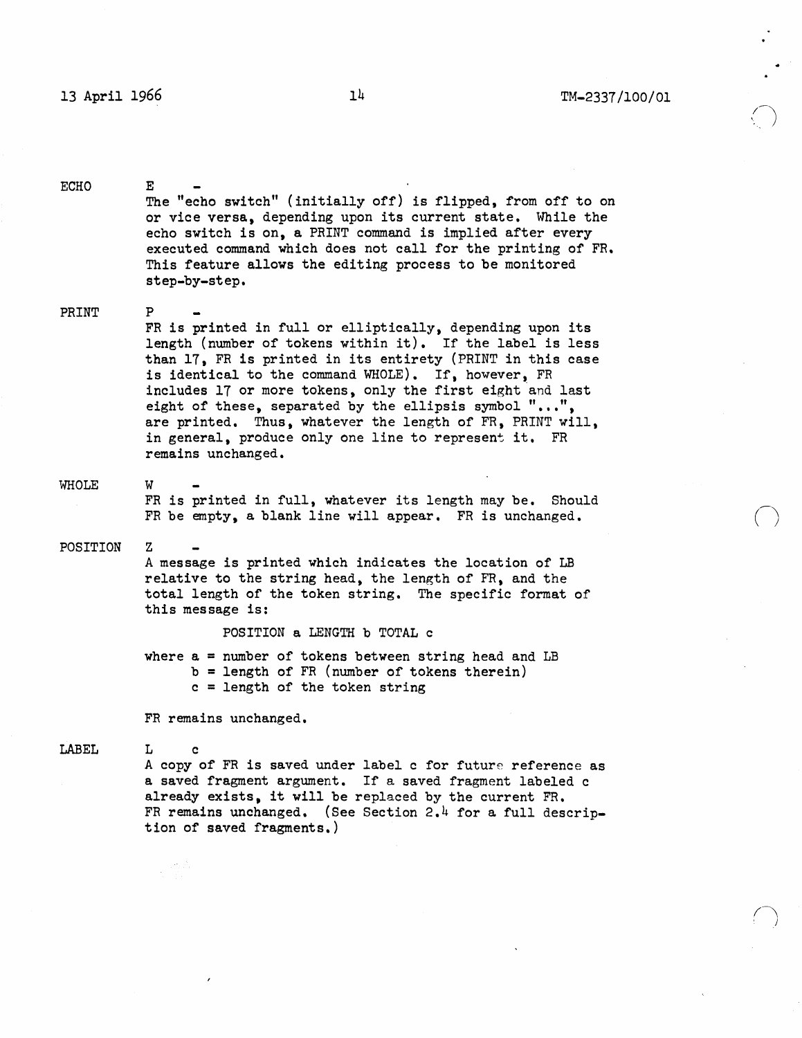$\bigcap$ , j

ECHO E The "echo switch" (initially off) is flipped, from off to on or vice versa, depending upon its current state. While the echo switch is on, a PRINT command is implied after every executed command which does not call for the printing of FR. This feature allows the editing process to be monitored step-by-step.

## PRINT P FR is printed in full or elliptically, depending upon its length (number of tokens within it). If the label is less than 17, FR is printed in its entirety (PRINT in this case is identical to the command WHOLE). If, however, FR includes 17 or more tokens, only the first eight and last eight of these, separated by the ellipsis symbol  $"\ldots"$ , are printed. Thus, whatever the length of FR, PRINT will, in general, produce only one line to represent it. FR remains unchanged.

## WHOLE

FR is printed in full, whatever its length may be. Should FR be empty, a blank line will appear. FR is unchanged.

## POSITION Z

W

A message is printed which indicates the location of LB relative to the string head, the length of FR, and the total length of the token string. The specific format of this message is:

POSITION a LENGTH b TOTAL c

where  $a =$  number of tokens between string head and LB b = length of FR (number of tokens therein) c = length of the token string

FR remains unchanged.

LABEL L c

> A copy of FR is saved under label c for future reference as a saved fragment argument. If a saved fragment labeled c already exists, it will be replaced by the current FR. FR remains unchanged. (See Section 2.4 for a full description of saved fragments.)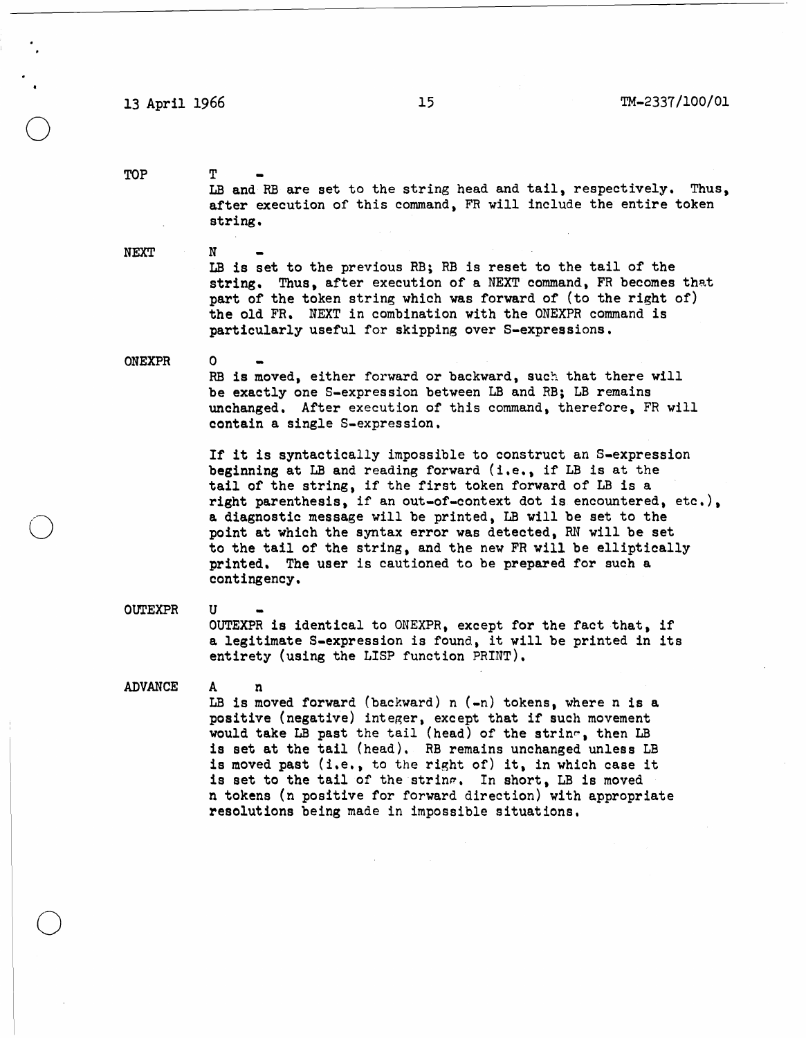## 13 April 1966 15 15 TM-2337/100/01

**T** 

N

o

U

A n

TOP

o

o

o

LB and RB are set to the string head and tail, respectively. Thus, after execution of this command, FR will include the entire token string.

NEXT

LB is set to the previous RB; RB is reset to the tail of the string. Thus. after execution of a NEXT command, FR becomes that part of the token string which was forward of (to the right of) the old FR. NEXT in combination with the ONEXPR command is particularly useful for skipping over S-expressions.

## ONEXPR

RB is moved, either forward or backward, such that there will be exactly one S-expression between LB and RB; LB remains unchanged. After execution of this command. therefore, FR will contain a single S-expression.

If it is syntactically impossible to construct an S-expression beginning at LB and reading forward  $(i.e., if LB is at the$ tail of the string. if the first token forward of LB is a right parenthesis, if an out-of-context dot is encountered, etc.), a diagnostic message will be printed. LB will be set to the point at which the syntax error was detected, RN will be set to the tail of the string, and the new FR will be elliptically printed. The user is cautioned to be prepared for such a contingency.

**OUTEXPR** 

OUTEXPR is identical to ONEXPR. except for the fact that. if a legitimate S-expression is found. it will be printed in its entirety (using the LISP function PRINT).

ADVANCE

LB is moved forward (backward)  $n(-n)$  tokens, where n is a positive (negative) integer. except that if such movement would take LB past the tail (head) of the strin~, then LB is set at the tail (head). RB remains unchanged unless LB is moved past (i.e., to the right of) it, in which case it is set to the tail of the string. In short, LB is moved n tokens (n positive for forward direction) with appropriate resolutions being made in impossible situations.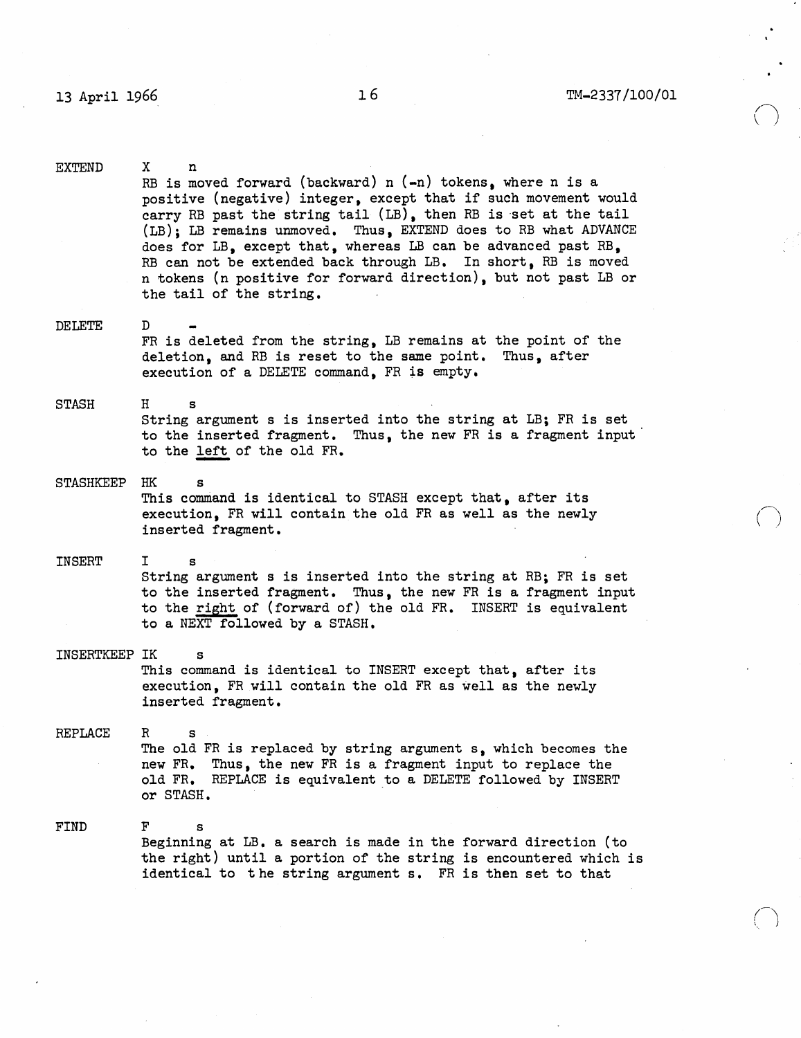$\bigcap$  $\backslash \ \rightarrow$ 

 $\bigcap$ 

EXTEND DELETE STASH X n RB is moved forward (backward)  $n$  ( $-n$ ) tokens, where  $n$  is a positive (negative) integer, except that if such movement would carry RB past the string tail (LB), then RB is set at the tail (LB); LB remains unmoved. Thus, EXTEND does to RB what ADVANCE does for LB, except that, whereas LB can be advanced past RB, RB can not be extended back through LB. In short, RB is moved n tokens (n positive for forward direction), but not past LB or the tail of the string. D FR is deleted from the string. LB remains at the point of the deletion, and RB is reset to the same point. Thus, after execution of a DELETE command, FR is empty. H s String argument s is inserted into the string at LB; FR is set to the inserted fragment. Thus, the new FR is a fragment input to the left of the old FR. STASHKEEP HK s INSERT This command is identical to STASH except that, after its execution, FR will contain the old FR as well as the newly inserted fragment. I s String argument s is inserted into the string at RB; FR is set to the inserted fragment. Thus, the new FR is a fragment input to the right of (forward of) the old FR. INSERT is equivalent to a NEXT followed by a STASH. INSERTKEEP IK REPLACE FIND This command is identical to INSERT except that, after its execution, FR will contain the old FR as well as the newly inserted fragment. R s The old FR is replaced by string argument s, which becomes the new FR. Thus, the new FR is a fragment input to replace the old FR. REPLACE is equivalent to a DELETE followed by INSERT or STASH. F s Beginning at LB. a search is made in the forward direction (to the right) until a portion of the string is encountered which is identical to t he string argument s. FR is then set to that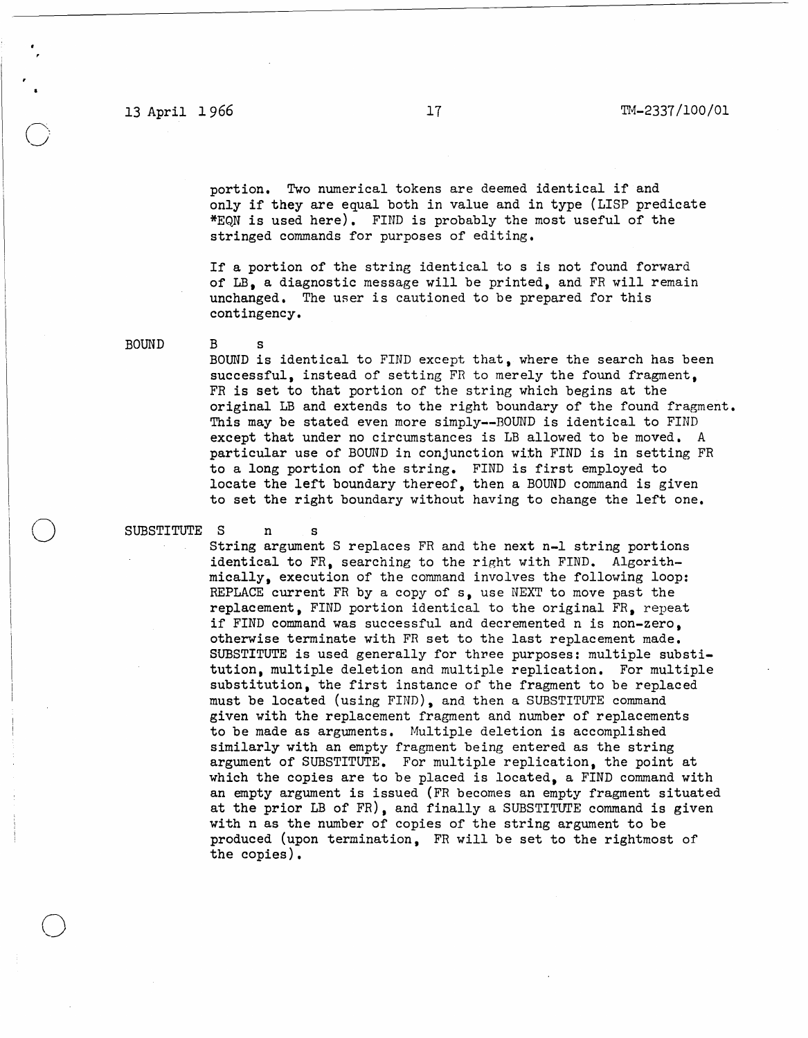portion. Two numerical tokens are deemed identical if and only if they are equal both in value and in type (LISP predicate \*EQN is used here). FIND is probably the most useful of the stringed commands for purposes of editing.

If a portion of the string identical to s is not found forward of LB, a diagnostic message will be printed, and FR will remain unchanged. The user is cautioned to be prepared for this contingency.

BOUND

o

o

BOUND is identical to FIND except that, where the search has been successful, instead of setting FR to merely the found fragment. FR is set to that portion of the string which begins at the original LB and extends to the right boundary of the found fragment. This may be stated even more simply--BOUND is identical to FIND except that under no circumstances is LB allowed to be moved. A particular use of BOUND in conjunction with FIND is in setting FR to a long portion of the string. FIND is first employed to locate the left boundary thereof, then a BOUND command is given to set the right boundary without having to change the left one.

SUBSTITUTE S n s

B s

String argument S replaces FR and the next n-l string portions identical to FR, searching to the right with FIND. Algorithmically, execution of the command involves the following loop: REPLACE current FR by a copy of s, use NEXT to move past the replacement, FIND portion identical to the original FR. repeat if FIND command was successful and decremented n is non-zero, otherwise terminate with FR set to the last replacement made. SUBSTITUTE is used generally for three purposes: multiple substitution, multiple deletion and multiple replication. For multiple substitution. the first instance of the fragment to be replaced must be located (using FIND), and then a SUBSTITUTE command given with the replacement fragment and number of replacements to be made as arguments. Multiple deletion is accomplished similarly with an empty fragment being entered as the string argument of SUBSTITUTE. For multiple replication. the point at which the copies are to be placed is located, a FIND command with an empty argument is issued (FR becomes an empty fragment situated at the prior LB of FR), and finally a SUBSTITUTE command is given with n as the number of copies of the string argument to be produced (upon termination, FR will be set to the rightmost of the copies).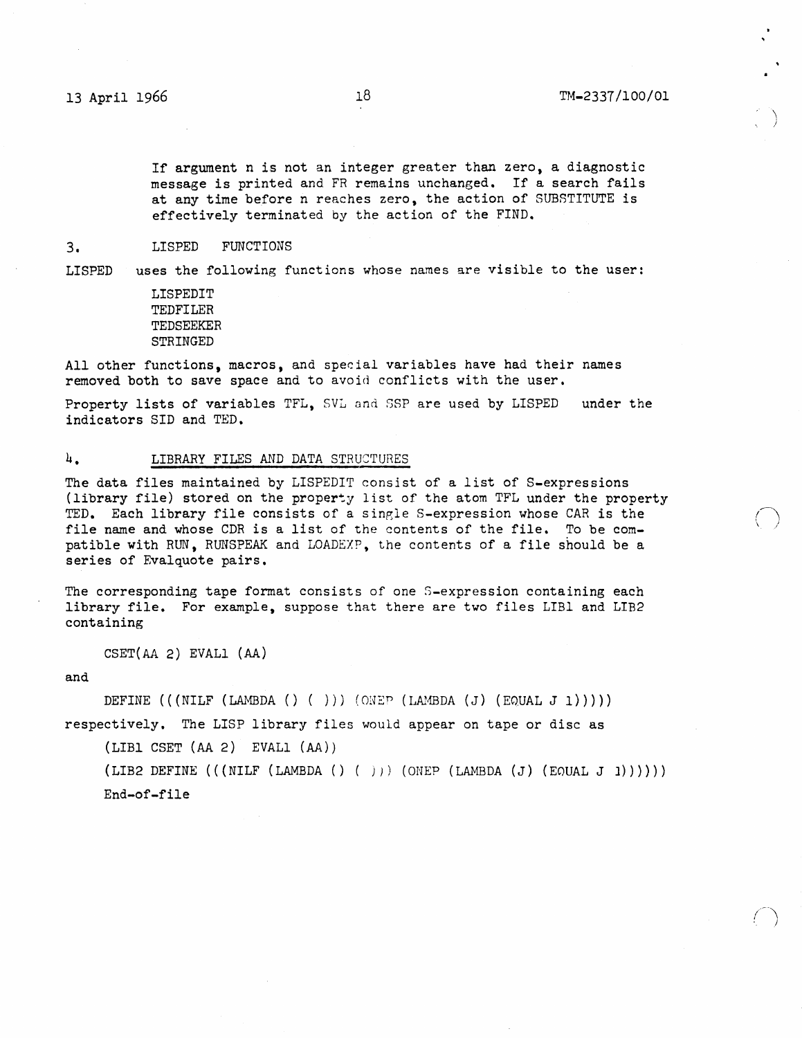\ ,;

 $($  $\backslash$  /

 $\bigcap$ )

If argument n is not an integer greater than zero, a diagnostic message is printed and FR remains unchanged. If a search fails at any time before n reaches zero, the action of SUBSTITUTE is effectively terminated by the action of the FIND.

### 3. LISPED FUNCTIONS

LISPED uses the following functions whose names are visible to the user:

> LISPEDIT TEDFILER TEDSEEKER STRINGED

All other functions, macros, and special variables have had their names removed both to save space and to avoid conflicts with the user.

Property lists of variables TFL, SVL and SSP are used by LISPED indicators SID and TED. under the

## 4. LIBRARY FILES AND DATA STRUCTURES

The data files maintained by LISPEDIT consist of a list of S-expressions (library file) stored on the property list of the atom TFL under the property TED. Each library file consists of a single S-expression whose CAR is the file name and whose CDR is a list of the contents of the file. To be compatible with RUN, RUNSPEAK and LOADEXP, the contents of a file should be a series of Evalquote pairs.

The corresponding tape format consists of one S-expression containing each library file. For example, suppose that there are two files LIBI and LIB2 containing

CSET(AA 2) EVALl (AA)

and

DEFINE  $((\text{NILF } (LAMBDA () () )))(\text{ONEP } (LAMBDA (J) (EQUAL J 1))))$ respectively. The LISP library files would appear on tape or disc as

(LIBI CSET (AA 2) EVALI (AA))

(LIB2 DEFINE  $(((NILF (LAMBDA () () )))(ONEP (LAMBDA (J) (EQUAL J 1))))))$ End-of-file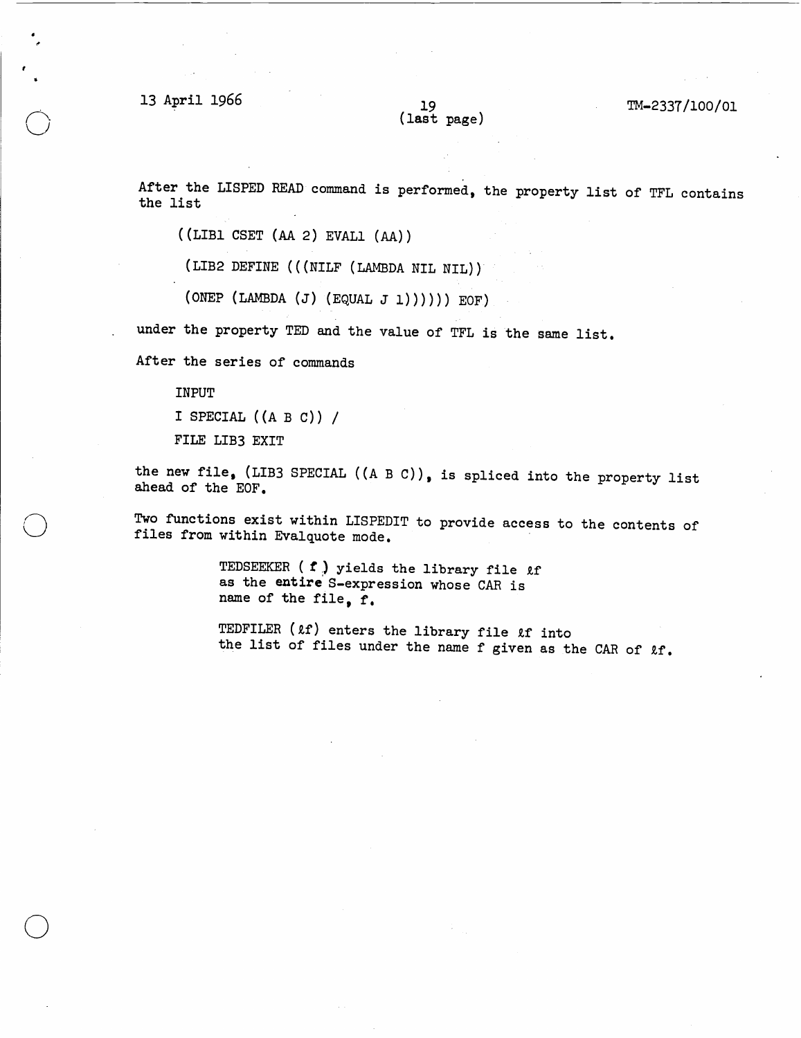13 April 1966 19

o

o

o

(last page)

TM-2337/l00/0l

After the LISPED READ command is performed, the property list of TFL contains the list

 $((LIBI CSET (AA 2) EVALU (AA))$ 

(LIB2 DEFINE (((NILF (LAMBDA NIL NIL)))

(ONEP (LAMBDA (J) (EQUAL J 1)))))) EOF)

under the property TED and the value of TFL is the same list.

After the series of commands

INPUT

I SPECIAL  $((A \ B \ C))$  /

FILE LIB3 EXIT

the new file, (LIB3 SPECIAL ( $(A \ B \ C)$ ), is spliced into the property list ahead of the EOF.

Two functions exist within LISPEDIT to provide access to the contents of files from within Evalquote mode.

> TEDSEEKER ( $t$ ) yields the library file  $\ell$ f as the entire' S-expression whose CAR is name of the file, f.

TEDFILER ( $\ell$ f) enters the library file  $\ell$ f into the list of files under the name f given as the CAR of  $kf$ .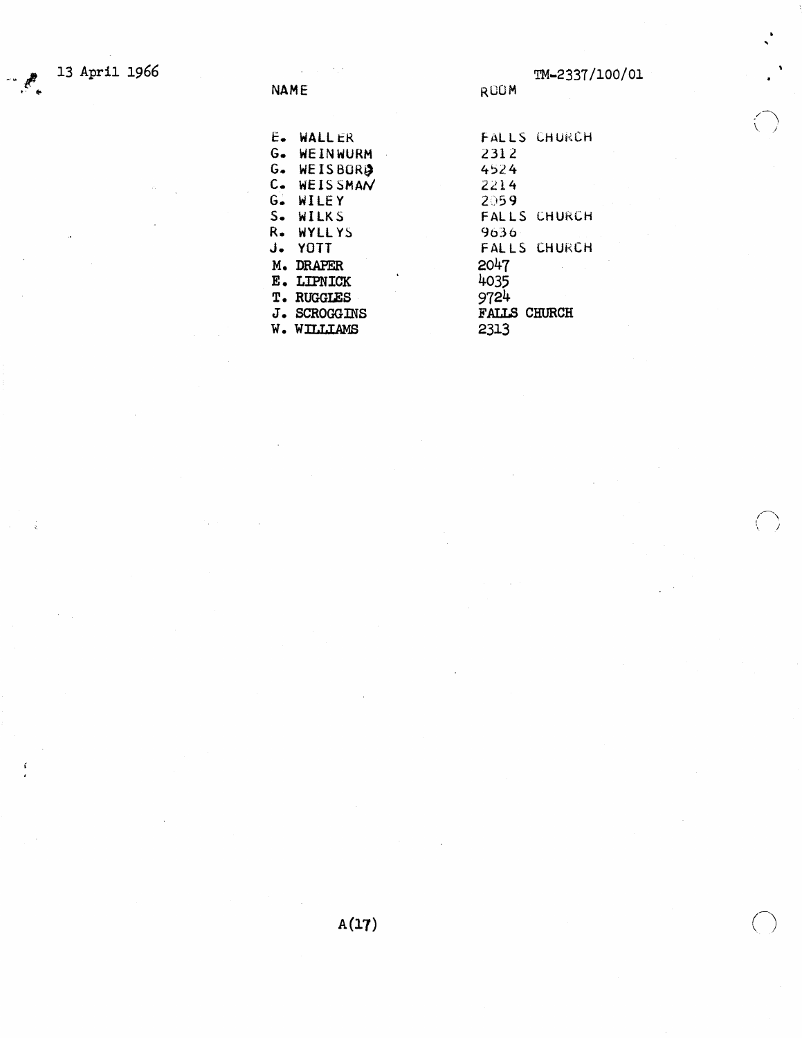ť

 $\langle - \rangle$ 

| E.              | <b>WALLER</b>       |  |
|-----------------|---------------------|--|
| G.              | WEINWURM            |  |
| G.              | WEISBORD            |  |
| c.              | <b>WEISSMAN</b>     |  |
| $G_{\bullet}$ . | WILEY               |  |
| s.              | WILKS               |  |
| R.              | <b>WYLLYS</b>       |  |
| J.              | YOTT                |  |
| м.              | <b>DRAPER</b>       |  |
| Е.              | LIPNICK             |  |
| т.              | <b>RUGGLES</b>      |  |
|                 | <b>J. SCROGGINS</b> |  |
|                 | <b>W. WILLLAMS</b>  |  |

FALLS CHURCH 2312 4524 2214  $2059$ FALLS CHURCH 9636 FALLS CHURCH 2047 4035  $9724$ FALLS CHURCH 2313

ROOM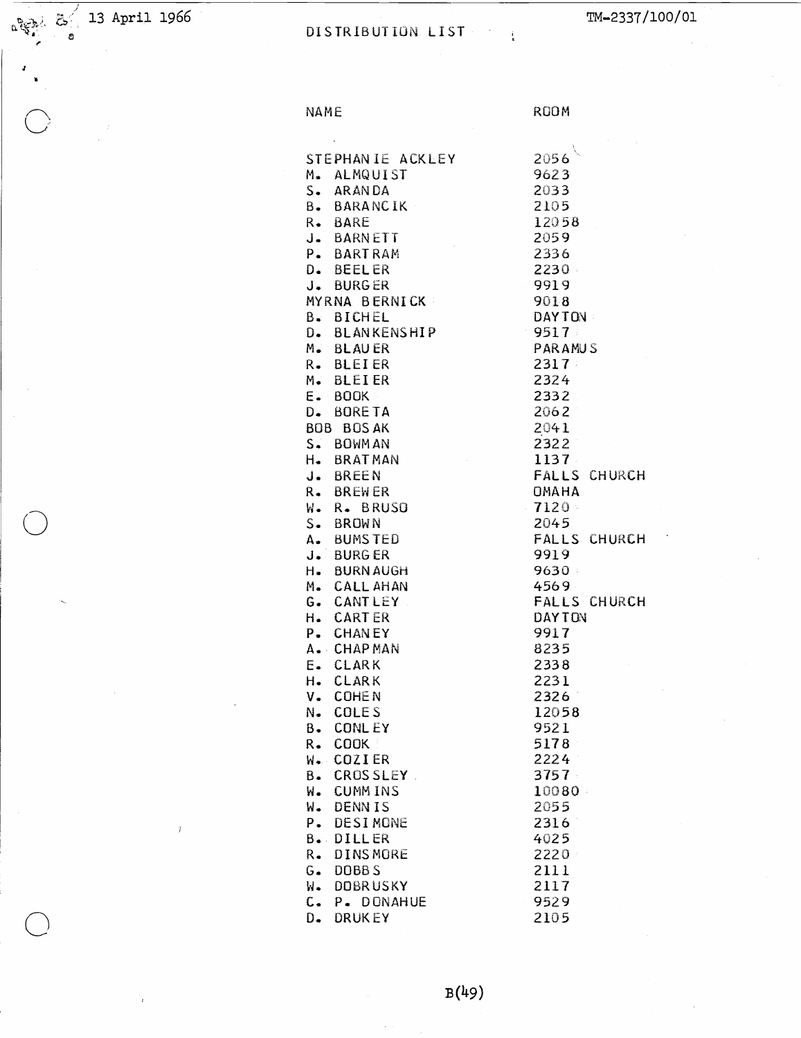$\frac{13}{4}$   $\frac{13}{4}$  April 1966

 $\begin{array}{c} \mathbf{z} \\ \mathbf{w} \end{array}$ 

# DISTRIBUTION LIST

TM-2337/100/01

NAME

ROOM

| STEPHANIE ACKLEY                   | 2056                  |
|------------------------------------|-----------------------|
| 1. ALMQUIST                        | 9623                  |
| S. ARANDA                          | 2033                  |
| 3. BARANCIK                        | 2105                  |
| <b>. BARE</b>                      | 12058                 |
|                                    | 2059                  |
| J. BARNETT<br>- BARTRAM            | 2336                  |
|                                    | 2230                  |
| ). BEELER<br>J. BURGER             | 9919                  |
|                                    |                       |
| YRNA BERNICK                       | 9018<br><b>DAYTON</b> |
| 3. BICHEL                          |                       |
| . BLANKENSHIP                      | $-9517$               |
| 4. BLAUER                          | PARAMUS               |
| R. BLEIER                          | 2317.                 |
| <b>4. BLEIER</b>                   | 2324                  |
| $\equiv$ $\bullet$ BOOK            | 2332                  |
| D. BORETA                          | 2062                  |
| <b>BOB BOSAK</b>                   | 2041                  |
| S. BOWMAN                          | 2322                  |
| 1. BRATMAN                         | 1137                  |
| J. BREEN                           | <b>FALLS CHURCH</b>   |
| <b>A. BREWER</b>                   | <b>OMAHA</b>          |
| . R. BRUSO                         | <b>7120</b>           |
| S. BROWN                           | 2045                  |
| 4. BUMSTED                         | <b>FALLS CHURCH</b>   |
| J. BURGER                          | 9919                  |
| 1. BURNAUGH                        | - 9630 -              |
| 4. CALL AHAN                       | 4569                  |
| G. CANTLEY                         | <b>FALLS CHURCH</b>   |
| <b>1. CARTER</b>                   | <b>DAYTON</b>         |
| <sup>2</sup> . CHANEY              | 9917                  |
| <b>A. CHAP MAN</b>                 | 8235                  |
| E. CLARK                           | 2338                  |
| 1. CLARK                           | 2231                  |
| <b>J. COHEN</b>                    | 2326                  |
| <b>V. COLES</b>                    | 12058                 |
| <b>CONLEY</b><br>3.                | 9521                  |
| COOK :<br>₹.                       | 5178                  |
| <b>COZIER</b><br>√. ∖              | 2224                  |
| 3.<br><b>CROSSLEY</b>              | 3757                  |
| <b>CUMMINS</b><br>√.               | 10080                 |
| <b>DENNIS</b><br>d.                | 2055                  |
| <b>DESIMONE</b><br>۰.              | 2316                  |
| <b>DILLER</b><br>3∝.               | 4025                  |
| ₹.<br><b>DINSMORE</b>              | 2220                  |
| $\frac{1}{2}$<br>DOBB <sub>S</sub> | 2111                  |
| <b>DOBRUSKY</b><br>₫.              | 2117                  |
| $\frac{1}{2}$<br>P. DONAHUE        | 9529                  |
| <b>DRUKEY</b><br>).                | 2105                  |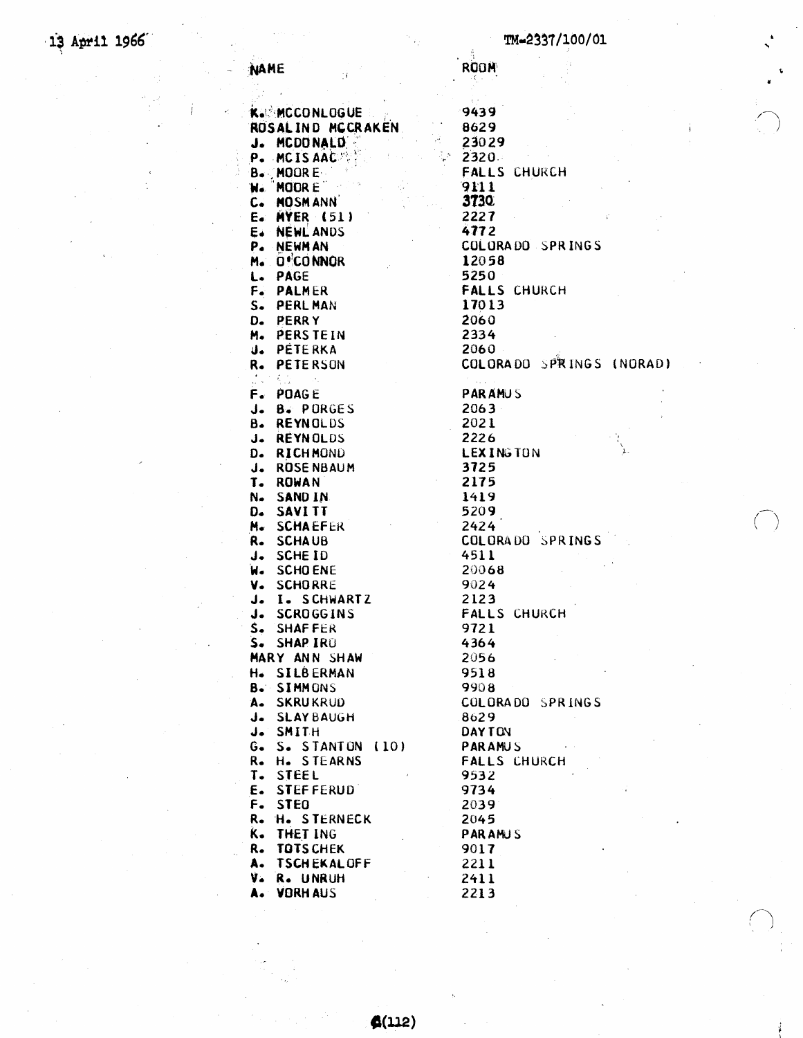**ROOM** 

NAME

|                 | <b>K. MCCONLOGUE</b>                        |
|-----------------|---------------------------------------------|
|                 | <b>K. MCCONLUGUE</b><br>ROSALIND MCCRAKEN   |
|                 |                                             |
|                 | J. MCDONALD                                 |
|                 | P. MCISAAC                                  |
|                 | <b>B. MOORE</b>                             |
|                 | <b>N. MOORE</b>                             |
|                 | C. MOSMANN                                  |
|                 | E. MYER (51)                                |
|                 |                                             |
|                 | E. NEWLANDS                                 |
|                 |                                             |
|                 | M. O'CONNOR                                 |
|                 | L. PAGE                                     |
|                 | F. PALMER                                   |
|                 | S. PERLMAN                                  |
|                 | D. PERRY                                    |
| M.              | <b>PERSTEIN</b>                             |
| $\mathbf{J}$ .  | PÉTERKA                                     |
| R.              | PETERSON                                    |
| $\frac{1}{2}$ . | $\mathcal{R}_{\text{max}}$ .                |
|                 | F. POAGE                                    |
|                 |                                             |
|                 | J. B. PORGES                                |
| в.              | <b>REYNOLDS</b>                             |
|                 | J. REYNOLDS                                 |
|                 | D. RICHMOND                                 |
| $J_{\bullet}$   | <b>ROSE NBAUM</b>                           |
| T.              | <b>ROWAN</b>                                |
| N.              | SAND IN                                     |
|                 | D. SAVITT                                   |
|                 | M. SCHAEFER                                 |
|                 | R. SCHAUB                                   |
|                 | J. SCHEID                                   |
|                 |                                             |
|                 | W. SCHOENE                                  |
|                 | V. SCHORRE                                  |
| $J_{\bullet}$   | I. SCHWARTZ<br>J. I. SCHWAR<br>J. SCROGGINS |
|                 |                                             |
|                 | S. SHAFFER                                  |
|                 | S. SHAP IRU                                 |
|                 | MARY ANN SHAW                               |
| $H_{\bullet}$   | <b>SILBERMAN</b>                            |
|                 | <b>B. SIMMONS</b>                           |
| A.              | <b>SKRUKRUD</b>                             |
| J.              | <b>SLAYBAUGH</b>                            |
| J.              | SMITH                                       |
| Ġ.              | S. STANTON (10)                             |
|                 |                                             |
| R.              | H. STEARNS                                  |
| T.              | <b>STEEL</b>                                |
| E.              | <b>STEFFERUD</b>                            |
| F.              | <b>STEO</b>                                 |
| R.              | <b>H. STERNECK</b>                          |
| K.              | THET ING                                    |
| R.              | <b>TOTS CHEK</b>                            |
| A.              | <b>TSCHEKALOFF</b>                          |
| V.              | R. UNRUH                                    |
|                 | <b>A. VORHAUS</b>                           |
|                 |                                             |
|                 |                                             |

 $f(112)$